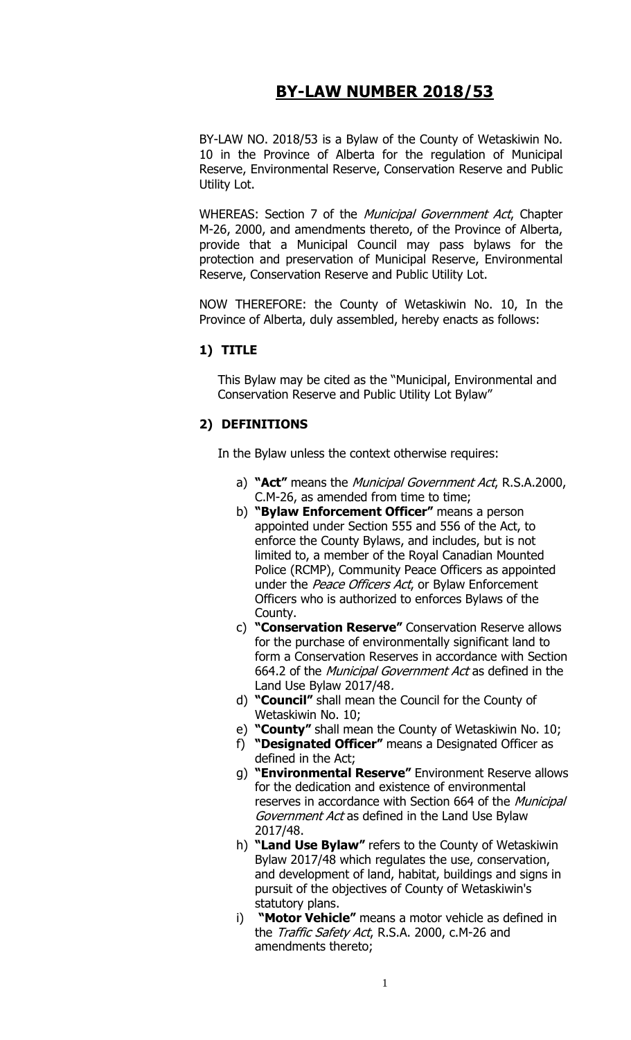# **BY-LAW NUMBER 2018/53**

BY-LAW NO. 2018/53 is a Bylaw of the County of Wetaskiwin No. 10 in the Province of Alberta for the regulation of Municipal Reserve, Environmental Reserve, Conservation Reserve and Public Utility Lot.

WHEREAS: Section 7 of the *Municipal Government Act*, Chapter M-26, 2000, and amendments thereto, of the Province of Alberta, provide that a Municipal Council may pass bylaws for the protection and preservation of Municipal Reserve, Environmental Reserve, Conservation Reserve and Public Utility Lot.

NOW THEREFORE: the County of Wetaskiwin No. 10, In the Province of Alberta, duly assembled, hereby enacts as follows:

#### **1) TITLE**

This Bylaw may be cited as the "Municipal, Environmental and Conservation Reserve and Public Utility Lot Bylaw"

#### **2) DEFINITIONS**

In the Bylaw unless the context otherwise requires:

- a) **"Act"** means the Municipal Government Act, R.S.A.2000, C.M-26, as amended from time to time;
- b) **"Bylaw Enforcement Officer"** means a person appointed under Section 555 and 556 of the Act, to enforce the County Bylaws, and includes, but is not limited to, a member of the Royal Canadian Mounted Police (RCMP), Community Peace Officers as appointed under the Peace Officers Act, or Bylaw Enforcement Officers who is authorized to enforces Bylaws of the County.
- c) **"Conservation Reserve"** Conservation Reserve allows for the purchase of environmentally significant land to form a Conservation Reserves in accordance with Section 664.2 of the Municipal Government Act as defined in the Land Use Bylaw 2017/48.
- d) **"Council"** shall mean the Council for the County of Wetaskiwin No. 10;
- e) **"County"** shall mean the County of Wetaskiwin No. 10;
- f) **"Designated Officer"** means a Designated Officer as defined in the Act;
- g) **"Environmental Reserve"** Environment Reserve allows for the dedication and existence of environmental reserves in accordance with Section 664 of the Municipal Government Act as defined in the Land Use Bylaw 2017/48.
- h) **"Land Use Bylaw"** refers to the County of Wetaskiwin Bylaw 2017/48 which regulates the use, conservation, and development of land, habitat, buildings and signs in pursuit of the objectives of County of Wetaskiwin's statutory plans.
- i) **"Motor Vehicle"** means a motor vehicle as defined in the *Traffic Safety Act*, R.S.A. 2000, c.M-26 and amendments thereto;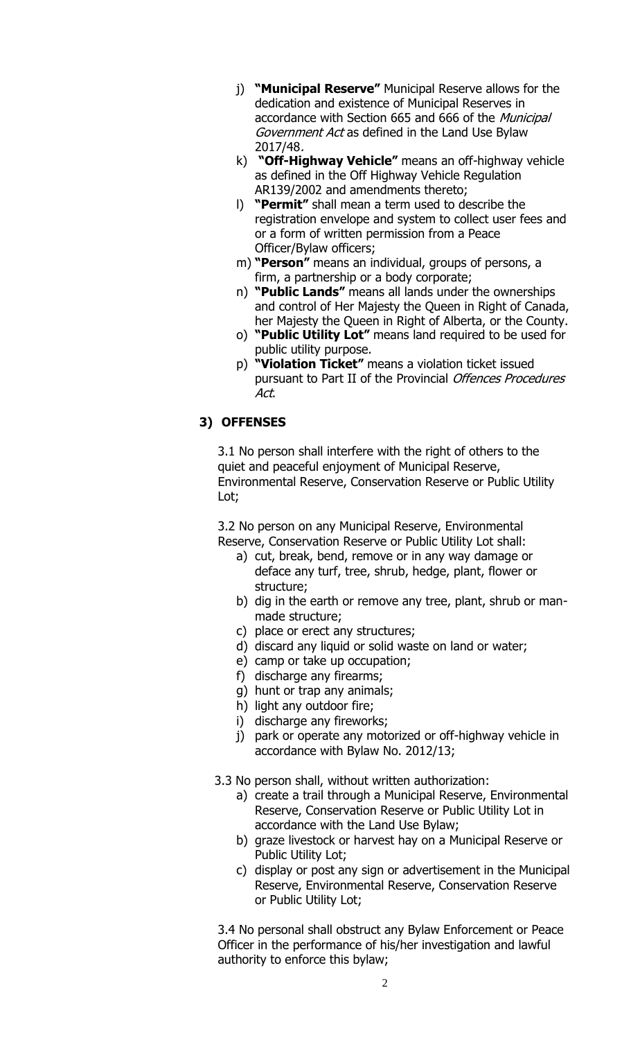- j) **"Municipal Reserve"** Municipal Reserve allows for the dedication and existence of Municipal Reserves in accordance with Section 665 and 666 of the Municipal Government Act as defined in the Land Use Bylaw 2017/48.
- k) **"Off-Highway Vehicle"** means an off-highway vehicle as defined in the Off Highway Vehicle Regulation AR139/2002 and amendments thereto;
- l) **"Permit"** shall mean a term used to describe the registration envelope and system to collect user fees and or a form of written permission from a Peace Officer/Bylaw officers;
- m) **"Person"** means an individual, groups of persons, a firm, a partnership or a body corporate;
- n) **"Public Lands"** means all lands under the ownerships and control of Her Majesty the Queen in Right of Canada, her Majesty the Queen in Right of Alberta, or the County.
- o) **"Public Utility Lot"** means land required to be used for public utility purpose.
- p) **"Violation Ticket"** means a violation ticket issued pursuant to Part II of the Provincial Offences Procedures Act.

# **3) OFFENSES**

3.1 No person shall interfere with the right of others to the quiet and peaceful enjoyment of Municipal Reserve, Environmental Reserve, Conservation Reserve or Public Utility Lot;

3.2 No person on any Municipal Reserve, Environmental Reserve, Conservation Reserve or Public Utility Lot shall:

- a) cut, break, bend, remove or in any way damage or deface any turf, tree, shrub, hedge, plant, flower or structure;
- b) dig in the earth or remove any tree, plant, shrub or manmade structure;
- c) place or erect any structures;
- d) discard any liquid or solid waste on land or water;
- e) camp or take up occupation;
- f) discharge any firearms;
- g) hunt or trap any animals;
- h) light any outdoor fire;
- i) discharge any fireworks;
- j) park or operate any motorized or off-highway vehicle in accordance with Bylaw No. 2012/13;
- 3.3 No person shall, without written authorization:
	- a) create a trail through a Municipal Reserve, Environmental Reserve, Conservation Reserve or Public Utility Lot in accordance with the Land Use Bylaw;
	- b) graze livestock or harvest hay on a Municipal Reserve or Public Utility Lot;
	- c) display or post any sign or advertisement in the Municipal Reserve, Environmental Reserve, Conservation Reserve or Public Utility Lot;

3.4 No personal shall obstruct any Bylaw Enforcement or Peace Officer in the performance of his/her investigation and lawful authority to enforce this bylaw;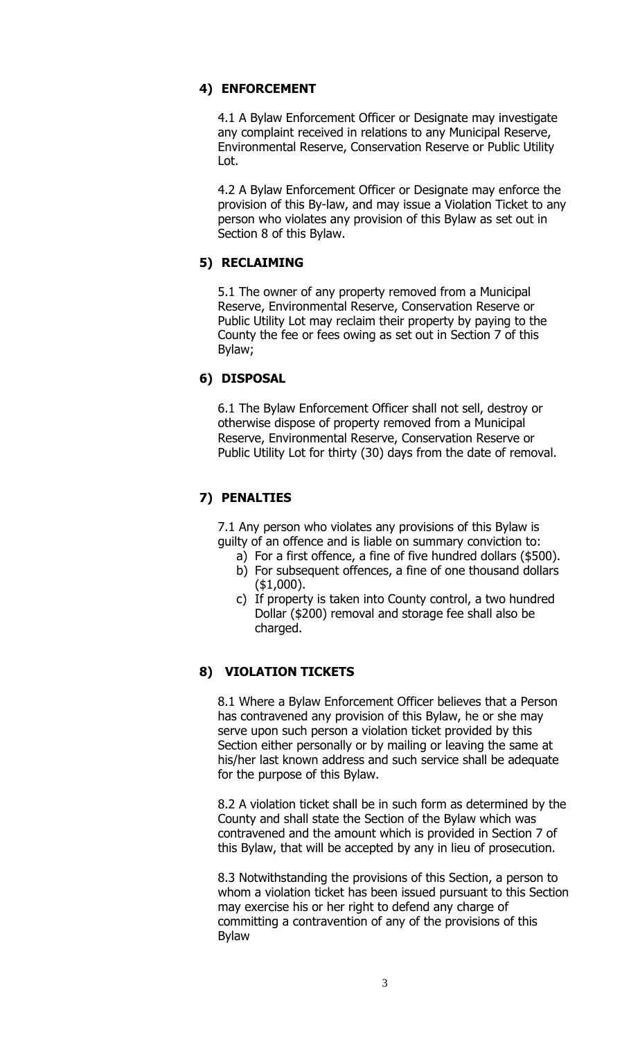### **4) ENFORCEMENT**

4.1 A Bylaw Enforcement Officer or Designate may investigate any complaint received in relations to any Municipal Reserve, Environmental Reserve, Conservation Reserve or Public Utility Lot.

4.2 A Bylaw Enforcement Officer or Designate may enforce the provision of this By-law, and may issue a Violation Ticket to any person who violates any provision of this Bylaw as set out in Section 8 of this Bylaw.

### **5) RECLAIMING**

5.1 The owner of any property removed from a Municipal Reserve, Environmental Reserve, Conservation Reserve or Public Utility Lot may reclaim their property by paying to the County the fee or fees owing as set out in Section 7 of this Bylaw;

### **6) DISPOSAL**

6.1 The Bylaw Enforcement Officer shall not sell, destroy or otherwise dispose of property removed from a Municipal Reserve, Environmental Reserve, Conservation Reserve or Public Utility Lot for thirty (30) days from the date of removal.

# **7) PENALTIES**

7.1 Any person who violates any provisions of this Bylaw is guilty of an offence and is liable on summary conviction to:

- a) For a first offence, a fine of five hundred dollars (\$500).
- b) For subsequent offences, a fine of one thousand dollars (\$1,000).
- c) If property is taken into County control, a two hundred Dollar (\$200) removal and storage fee shall also be charged.

### **8) VIOLATION TICKETS**

8.1 Where a Bylaw Enforcement Officer believes that a Person has contravened any provision of this Bylaw, he or she may serve upon such person a violation ticket provided by this Section either personally or by mailing or leaving the same at his/her last known address and such service shall be adequate for the purpose of this Bylaw.

8.2 A violation ticket shall be in such form as determined by the County and shall state the Section of the Bylaw which was contravened and the amount which is provided in Section 7 of this Bylaw, that will be accepted by any in lieu of prosecution.

8.3 Notwithstanding the provisions of this Section, a person to whom a violation ticket has been issued pursuant to this Section may exercise his or her right to defend any charge of committing a contravention of any of the provisions of this Bylaw